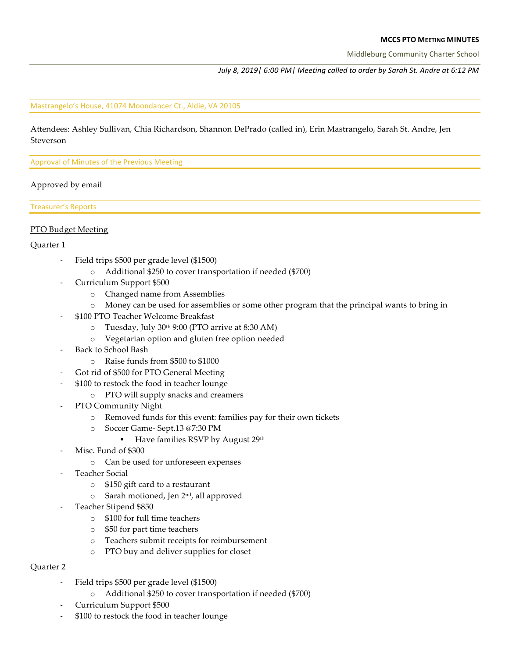#### **MCCS PTO MEETING MINUTES**

Middleburg Community Charter School

*July* 8, 2019 | 6:00 PM | Meeting called to order by Sarah St. Andre at 6:12 PM

#### Mastrangelo's House, 41074 Moondancer Ct., Aldie, VA 20105

Attendees: Ashley Sullivan, Chia Richardson, Shannon DePrado (called in), Erin Mastrangelo, Sarah St. Andre, Jen Steverson

Approval of Minutes of the Previous Meeting

### Approved by email

Treasurer's Reports

### PTO Budget Meeting

#### Quarter 1

- Field trips \$500 per grade level (\$1500)
	- o Additional \$250 to cover transportation if needed (\$700)
- Curriculum Support \$500
	- o Changed name from Assemblies
	- o Money can be used for assemblies or some other program that the principal wants to bring in
- \$100 PTO Teacher Welcome Breakfast
	- $\circ$  Tuesday, July 30<sup>th</sup> 9:00 (PTO arrive at 8:30 AM)
	- o Vegetarian option and gluten free option needed
- Back to School Bash
	- o Raise funds from \$500 to \$1000
- Got rid of \$500 for PTO General Meeting
- \$100 to restock the food in teacher lounge
	- o PTO will supply snacks and creamers
- PTO Community Night
	- o Removed funds for this event: families pay for their own tickets
	- o Soccer Game- Sept.13 @7:30 PM
		- Have families RSVP by August 29<sup>th</sup>
- Misc. Fund of \$300
	- o Can be used for unforeseen expenses
- Teacher Social
	- o \$150 gift card to a restaurant
	- o Sarah motioned, Jen 2nd, all approved
- Teacher Stipend \$850
	- o \$100 for full time teachers
	- o \$50 for part time teachers
	- o Teachers submit receipts for reimbursement
	- o PTO buy and deliver supplies for closet

## Quarter 2

- Field trips \$500 per grade level (\$1500)
	- o Additional \$250 to cover transportation if needed (\$700)
- Curriculum Support \$500
- \$100 to restock the food in teacher lounge